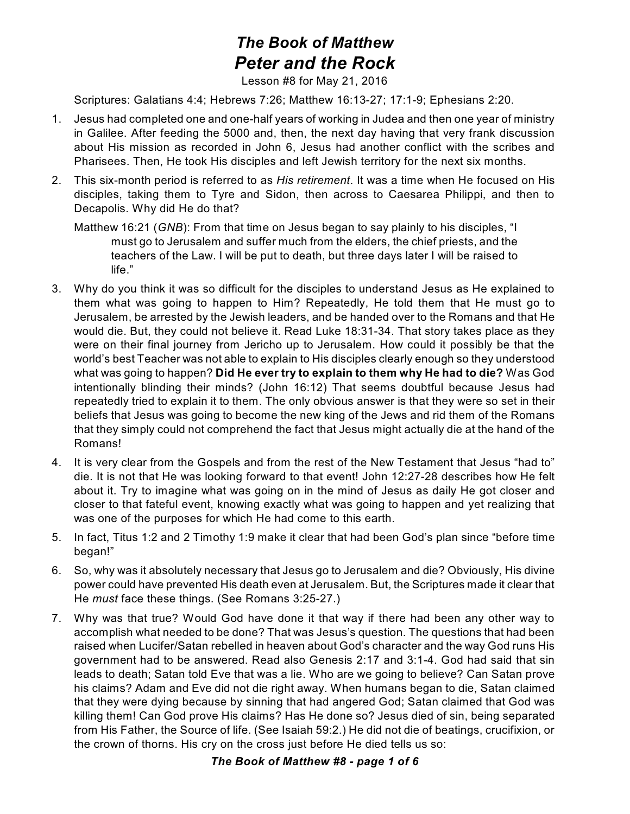# *The Book of Matthew Peter and the Rock*

Lesson #8 for May 21, 2016

Scriptures: Galatians 4:4; Hebrews 7:26; Matthew 16:13-27; 17:1-9; Ephesians 2:20.

- 1. Jesus had completed one and one-half years of working in Judea and then one year of ministry in Galilee. After feeding the 5000 and, then, the next day having that very frank discussion about His mission as recorded in John 6, Jesus had another conflict with the scribes and Pharisees. Then, He took His disciples and left Jewish territory for the next six months.
- 2. This six-month period is referred to as *His retirement*. It was a time when He focused on His disciples, taking them to Tyre and Sidon, then across to Caesarea Philippi, and then to Decapolis. Why did He do that?
	- Matthew 16:21 (*GNB*): From that time on Jesus began to say plainly to his disciples, "I must go to Jerusalem and suffer much from the elders, the chief priests, and the teachers of the Law. I will be put to death, but three days later I will be raised to life."
- 3. Why do you think it was so difficult for the disciples to understand Jesus as He explained to them what was going to happen to Him? Repeatedly, He told them that He must go to Jerusalem, be arrested by the Jewish leaders, and be handed over to the Romans and that He would die. But, they could not believe it. Read Luke 18:31-34. That story takes place as they were on their final journey from Jericho up to Jerusalem. How could it possibly be that the world's best Teacher was not able to explain to His disciples clearly enough so they understood what was going to happen? **Did He ever try to explain to them why He had to die?** Was God intentionally blinding their minds? (John 16:12) That seems doubtful because Jesus had repeatedly tried to explain it to them. The only obvious answer is that they were so set in their beliefs that Jesus was going to become the new king of the Jews and rid them of the Romans that they simply could not comprehend the fact that Jesus might actually die at the hand of the Romans!
- 4. It is very clear from the Gospels and from the rest of the New Testament that Jesus "had to" die. It is not that He was looking forward to that event! John 12:27-28 describes how He felt about it. Try to imagine what was going on in the mind of Jesus as daily He got closer and closer to that fateful event, knowing exactly what was going to happen and yet realizing that was one of the purposes for which He had come to this earth.
- 5. In fact, Titus 1:2 and 2 Timothy 1:9 make it clear that had been God's plan since "before time began!"
- 6. So, why was it absolutely necessary that Jesus go to Jerusalem and die? Obviously, His divine power could have prevented His death even at Jerusalem. But, the Scriptures made it clear that He *must* face these things. (See Romans 3:25-27.)
- 7. Why was that true? Would God have done it that way if there had been any other way to accomplish what needed to be done? That was Jesus's question. The questions that had been raised when Lucifer/Satan rebelled in heaven about God's character and the way God runs His government had to be answered. Read also Genesis 2:17 and 3:1-4. God had said that sin leads to death; Satan told Eve that was a lie. Who are we going to believe? Can Satan prove his claims? Adam and Eve did not die right away. When humans began to die, Satan claimed that they were dying because by sinning that had angered God; Satan claimed that God was killing them! Can God prove His claims? Has He done so? Jesus died of sin, being separated from His Father, the Source of life. (See Isaiah 59:2.) He did not die of beatings, crucifixion, or the crown of thorns. His cry on the cross just before He died tells us so:

### *The Book of Matthew #8 - page 1 of 6*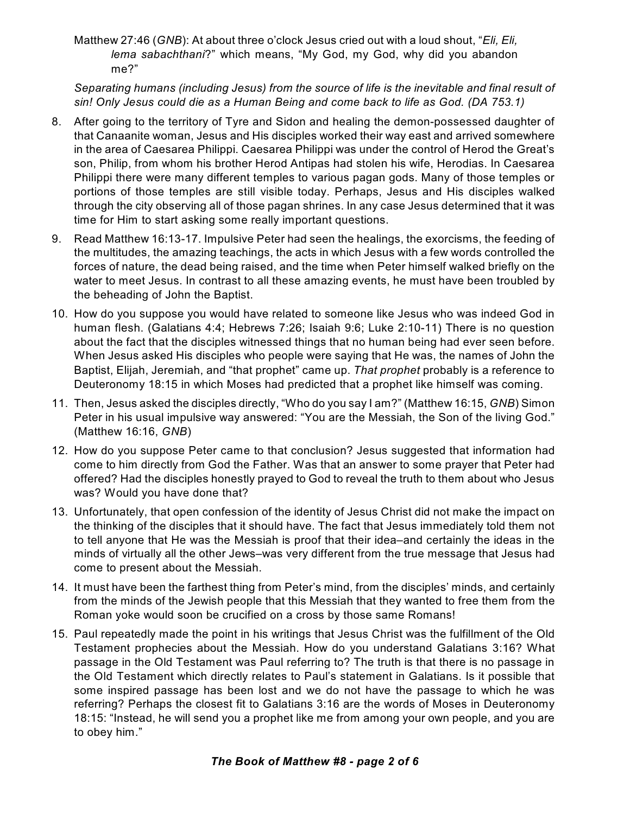Matthew 27:46 (*GNB*): At about three o'clock Jesus cried out with a loud shout, "*Eli, Eli, lema sabachthani*?" which means, "My God, my God, why did you abandon me?"

*Separating humans (including Jesus) from the source of life is the inevitable and final result of sin! Only Jesus could die as a Human Being and come back to life as God. (DA 753.1)*

- 8. After going to the territory of Tyre and Sidon and healing the demon-possessed daughter of that Canaanite woman, Jesus and His disciples worked their way east and arrived somewhere in the area of Caesarea Philippi. Caesarea Philippi was under the control of Herod the Great's son, Philip, from whom his brother Herod Antipas had stolen his wife, Herodias. In Caesarea Philippi there were many different temples to various pagan gods. Many of those temples or portions of those temples are still visible today. Perhaps, Jesus and His disciples walked through the city observing all of those pagan shrines. In any case Jesus determined that it was time for Him to start asking some really important questions.
- 9. Read Matthew 16:13-17. Impulsive Peter had seen the healings, the exorcisms, the feeding of the multitudes, the amazing teachings, the acts in which Jesus with a few words controlled the forces of nature, the dead being raised, and the time when Peter himself walked briefly on the water to meet Jesus. In contrast to all these amazing events, he must have been troubled by the beheading of John the Baptist.
- 10. How do you suppose you would have related to someone like Jesus who was indeed God in human flesh. (Galatians 4:4; Hebrews 7:26; Isaiah 9:6; Luke 2:10-11) There is no question about the fact that the disciples witnessed things that no human being had ever seen before. When Jesus asked His disciples who people were saying that He was, the names of John the Baptist, Elijah, Jeremiah, and "that prophet" came up. *That prophet* probably is a reference to Deuteronomy 18:15 in which Moses had predicted that a prophet like himself was coming.
- 11. Then, Jesus asked the disciples directly, "Who do you say I am?" (Matthew 16:15, *GNB*) Simon Peter in his usual impulsive way answered: "You are the Messiah, the Son of the living God." (Matthew 16:16, *GNB*)
- 12. How do you suppose Peter came to that conclusion? Jesus suggested that information had come to him directly from God the Father. Was that an answer to some prayer that Peter had offered? Had the disciples honestly prayed to God to reveal the truth to them about who Jesus was? Would you have done that?
- 13. Unfortunately, that open confession of the identity of Jesus Christ did not make the impact on the thinking of the disciples that it should have. The fact that Jesus immediately told them not to tell anyone that He was the Messiah is proof that their idea–and certainly the ideas in the minds of virtually all the other Jews–was very different from the true message that Jesus had come to present about the Messiah.
- 14. It must have been the farthest thing from Peter's mind, from the disciples' minds, and certainly from the minds of the Jewish people that this Messiah that they wanted to free them from the Roman yoke would soon be crucified on a cross by those same Romans!
- 15. Paul repeatedly made the point in his writings that Jesus Christ was the fulfillment of the Old Testament prophecies about the Messiah. How do you understand Galatians 3:16? What passage in the Old Testament was Paul referring to? The truth is that there is no passage in the Old Testament which directly relates to Paul's statement in Galatians. Is it possible that some inspired passage has been lost and we do not have the passage to which he was referring? Perhaps the closest fit to Galatians 3:16 are the words of Moses in Deuteronomy 18:15: "Instead, he will send you a prophet like me from among your own people, and you are to obey him."

### *The Book of Matthew #8 - page 2 of 6*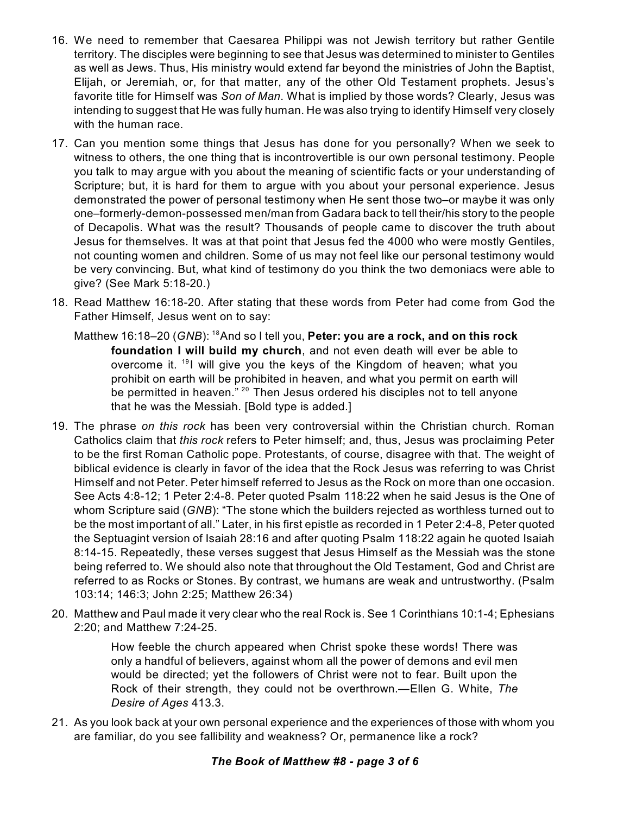- 16. We need to remember that Caesarea Philippi was not Jewish territory but rather Gentile territory. The disciples were beginning to see that Jesus was determined to minister to Gentiles as well as Jews. Thus, His ministry would extend far beyond the ministries of John the Baptist, Elijah, or Jeremiah, or, for that matter, any of the other Old Testament prophets. Jesus's favorite title for Himself was *Son of Man*. What is implied by those words? Clearly, Jesus was intending to suggest that He was fully human. He was also trying to identify Himself very closely with the human race.
- 17. Can you mention some things that Jesus has done for you personally? When we seek to witness to others, the one thing that is incontrovertible is our own personal testimony. People you talk to may argue with you about the meaning of scientific facts or your understanding of Scripture; but, it is hard for them to argue with you about your personal experience. Jesus demonstrated the power of personal testimony when He sent those two–or maybe it was only one–formerly-demon-possessed men/man from Gadara back to tell their/his story to the people of Decapolis. What was the result? Thousands of people came to discover the truth about Jesus for themselves. It was at that point that Jesus fed the 4000 who were mostly Gentiles, not counting women and children. Some of us may not feel like our personal testimony would be very convincing. But, what kind of testimony do you think the two demoniacs were able to give? (See Mark 5:18-20.)
- 18. Read Matthew 16:18-20. After stating that these words from Peter had come from God the Father Himself, Jesus went on to say:
	- Matthew 16:18–20 (GNB): <sup>18</sup>And so I tell you, **Peter: you are a rock, and on this rock foundation I will build my church**, and not even death will ever be able to overcome it. <sup>19</sup>I will give you the keys of the Kingdom of heaven; what you prohibit on earth will be prohibited in heaven, and what you permit on earth will be permitted in heaven."  $^{20}$  Then Jesus ordered his disciples not to tell anyone that he was the Messiah. [Bold type is added.]
- 19. The phrase *on this rock* has been very controversial within the Christian church. Roman Catholics claim that *this rock* refers to Peter himself; and, thus, Jesus was proclaiming Peter to be the first Roman Catholic pope. Protestants, of course, disagree with that. The weight of biblical evidence is clearly in favor of the idea that the Rock Jesus was referring to was Christ Himself and not Peter. Peter himself referred to Jesus as the Rock on more than one occasion. See Acts 4:8-12; 1 Peter 2:4-8. Peter quoted Psalm 118:22 when he said Jesus is the One of whom Scripture said (*GNB*): "The stone which the builders rejected as worthless turned out to be the most important of all." Later, in his first epistle as recorded in 1 Peter 2:4-8, Peter quoted the Septuagint version of Isaiah 28:16 and after quoting Psalm 118:22 again he quoted Isaiah 8:14-15. Repeatedly, these verses suggest that Jesus Himself as the Messiah was the stone being referred to. We should also note that throughout the Old Testament, God and Christ are referred to as Rocks or Stones. By contrast, we humans are weak and untrustworthy. (Psalm 103:14; 146:3; John 2:25; Matthew 26:34)
- 20. Matthew and Paul made it very clear who the real Rock is. See 1 Corinthians 10:1-4; Ephesians 2:20; and Matthew 7:24-25.

How feeble the church appeared when Christ spoke these words! There was only a handful of believers, against whom all the power of demons and evil men would be directed; yet the followers of Christ were not to fear. Built upon the Rock of their strength, they could not be overthrown.—Ellen G. White, *The Desire of Ages* 413.3.

21. As you look back at your own personal experience and the experiences of those with whom you are familiar, do you see fallibility and weakness? Or, permanence like a rock?

## *The Book of Matthew #8 - page 3 of 6*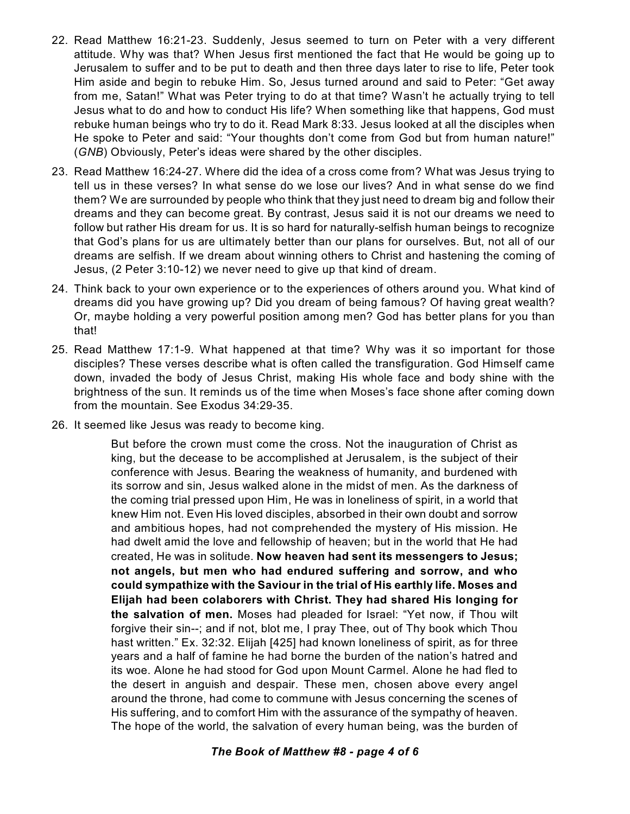- 22. Read Matthew 16:21-23. Suddenly, Jesus seemed to turn on Peter with a very different attitude. Why was that? When Jesus first mentioned the fact that He would be going up to Jerusalem to suffer and to be put to death and then three days later to rise to life, Peter took Him aside and begin to rebuke Him. So, Jesus turned around and said to Peter: "Get away from me, Satan!" What was Peter trying to do at that time? Wasn't he actually trying to tell Jesus what to do and how to conduct His life? When something like that happens, God must rebuke human beings who try to do it. Read Mark 8:33. Jesus looked at all the disciples when He spoke to Peter and said: "Your thoughts don't come from God but from human nature!" (*GNB*) Obviously, Peter's ideas were shared by the other disciples.
- 23. Read Matthew 16:24-27. Where did the idea of a cross come from? What was Jesus trying to tell us in these verses? In what sense do we lose our lives? And in what sense do we find them? We are surrounded by people who think that they just need to dream big and follow their dreams and they can become great. By contrast, Jesus said it is not our dreams we need to follow but rather His dream for us. It is so hard for naturally-selfish human beings to recognize that God's plans for us are ultimately better than our plans for ourselves. But, not all of our dreams are selfish. If we dream about winning others to Christ and hastening the coming of Jesus, (2 Peter 3:10-12) we never need to give up that kind of dream.
- 24. Think back to your own experience or to the experiences of others around you. What kind of dreams did you have growing up? Did you dream of being famous? Of having great wealth? Or, maybe holding a very powerful position among men? God has better plans for you than that!
- 25. Read Matthew 17:1-9. What happened at that time? Why was it so important for those disciples? These verses describe what is often called the transfiguration. God Himself came down, invaded the body of Jesus Christ, making His whole face and body shine with the brightness of the sun. It reminds us of the time when Moses's face shone after coming down from the mountain. See Exodus 34:29-35.
- 26. It seemed like Jesus was ready to become king.

But before the crown must come the cross. Not the inauguration of Christ as king, but the decease to be accomplished at Jerusalem, is the subject of their conference with Jesus. Bearing the weakness of humanity, and burdened with its sorrow and sin, Jesus walked alone in the midst of men. As the darkness of the coming trial pressed upon Him, He was in loneliness of spirit, in a world that knew Him not. Even His loved disciples, absorbed in their own doubt and sorrow and ambitious hopes, had not comprehended the mystery of His mission. He had dwelt amid the love and fellowship of heaven; but in the world that He had created, He was in solitude. **Now heaven had sent its messengers to Jesus; not angels, but men who had endured suffering and sorrow, and who could sympathize with the Saviour in the trial of His earthly life. Moses and Elijah had been colaborers with Christ. They had shared His longing for the salvation of men.** Moses had pleaded for Israel: "Yet now, if Thou wilt forgive their sin--; and if not, blot me, I pray Thee, out of Thy book which Thou hast written." Ex. 32:32. Elijah [425] had known loneliness of spirit, as for three years and a half of famine he had borne the burden of the nation's hatred and its woe. Alone he had stood for God upon Mount Carmel. Alone he had fled to the desert in anguish and despair. These men, chosen above every angel around the throne, had come to commune with Jesus concerning the scenes of His suffering, and to comfort Him with the assurance of the sympathy of heaven. The hope of the world, the salvation of every human being, was the burden of

### *The Book of Matthew #8 - page 4 of 6*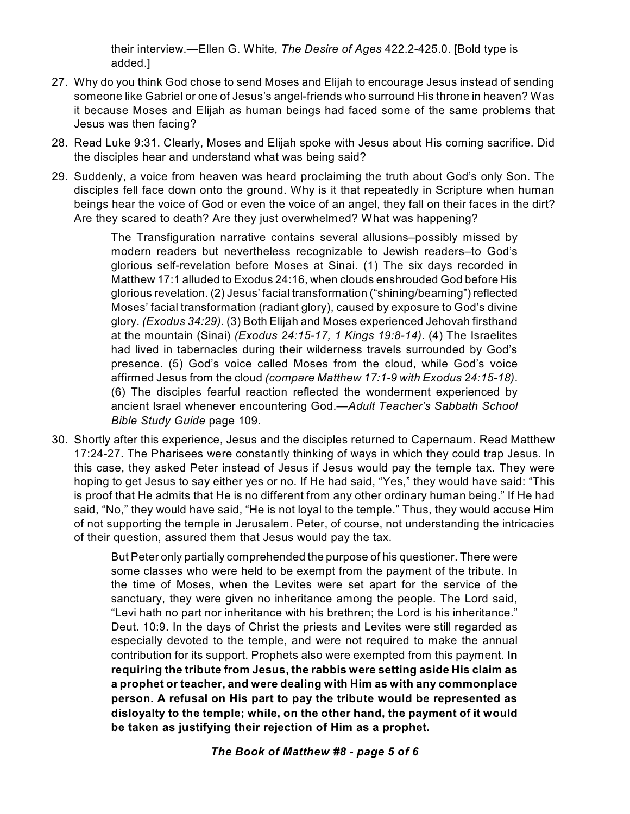their interview.—Ellen G. White, *The Desire of Ages* 422.2-425.0. [Bold type is added.]

- 27. Why do you think God chose to send Moses and Elijah to encourage Jesus instead of sending someone like Gabriel or one of Jesus's angel-friends who surround His throne in heaven? Was it because Moses and Elijah as human beings had faced some of the same problems that Jesus was then facing?
- 28. Read Luke 9:31. Clearly, Moses and Elijah spoke with Jesus about His coming sacrifice. Did the disciples hear and understand what was being said?
- 29. Suddenly, a voice from heaven was heard proclaiming the truth about God's only Son. The disciples fell face down onto the ground. Why is it that repeatedly in Scripture when human beings hear the voice of God or even the voice of an angel, they fall on their faces in the dirt? Are they scared to death? Are they just overwhelmed? What was happening?

The Transfiguration narrative contains several allusions–possibly missed by modern readers but nevertheless recognizable to Jewish readers–to God's glorious self-revelation before Moses at Sinai. (1) The six days recorded in Matthew 17:1 alluded to Exodus 24:16, when clouds enshrouded God before His glorious revelation. (2) Jesus' facial transformation ("shining/beaming") reflected Moses' facial transformation (radiant glory), caused by exposure to God's divine glory. *(Exodus 34:29)*. (3) Both Elijah and Moses experienced Jehovah firsthand at the mountain (Sinai) *(Exodus 24:15-17, 1 Kings 19:8-14)*. (4) The Israelites had lived in tabernacles during their wilderness travels surrounded by God's presence. (5) God's voice called Moses from the cloud, while God's voice affirmed Jesus from the cloud *(compare Matthew 17:1-9 with Exodus 24:15-18)*. (6) The disciples fearful reaction reflected the wonderment experienced by ancient Israel whenever encountering God.—*Adult Teacher's Sabbath School Bible Study Guide* page 109.

30. Shortly after this experience, Jesus and the disciples returned to Capernaum. Read Matthew 17:24-27. The Pharisees were constantly thinking of ways in which they could trap Jesus. In this case, they asked Peter instead of Jesus if Jesus would pay the temple tax. They were hoping to get Jesus to say either yes or no. If He had said, "Yes," they would have said: "This is proof that He admits that He is no different from any other ordinary human being." If He had said, "No," they would have said, "He is not loyal to the temple." Thus, they would accuse Him of not supporting the temple in Jerusalem. Peter, of course, not understanding the intricacies of their question, assured them that Jesus would pay the tax.

> But Peter only partially comprehended the purpose of his questioner. There were some classes who were held to be exempt from the payment of the tribute. In the time of Moses, when the Levites were set apart for the service of the sanctuary, they were given no inheritance among the people. The Lord said, "Levi hath no part nor inheritance with his brethren; the Lord is his inheritance." Deut. 10:9. In the days of Christ the priests and Levites were still regarded as especially devoted to the temple, and were not required to make the annual contribution for its support. Prophets also were exempted from this payment. **In requiring the tribute from Jesus, the rabbis were setting aside His claim as a prophet or teacher, and were dealing with Him as with any commonplace person. A refusal on His part to pay the tribute would be represented as disloyalty to the temple; while, on the other hand, the payment of it would be taken as justifying their rejection of Him as a prophet.**